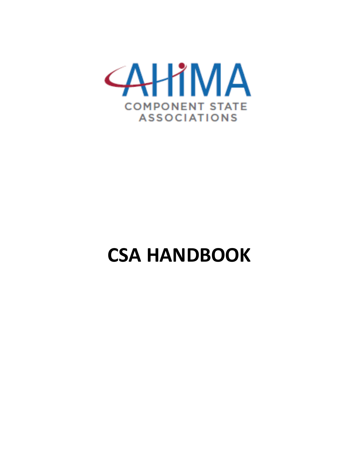

# **CSA HANDBOOK**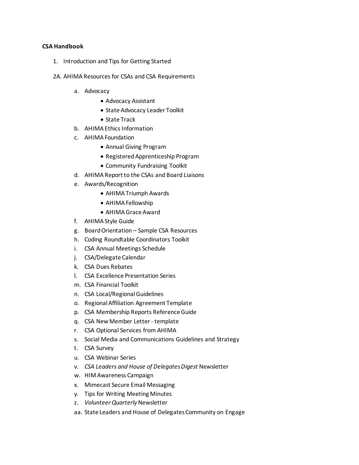#### **CSA Handbook**

- 1. Introduction and Tips for Getting Started
- 2A. AHIMA Resources for CSAs and CSA Requirements
	- a. Advocacy
		- Advocacy Assistant
		- State Advocacy Leader Toolkit
		- State Track
	- b. AHIMA Ethics Information
	- c. AHIMA Foundation
		- Annual Giving Program
		- Registered Apprenticeship Program
		- Community Fundraising Toolkit
	- d. AHIMA Report to the CSAs and Board Liaisons
	- e. Awards/Recognition
		- AHIMA Triumph Awards
		- AHIMA Fellowship
		- AHIMA Grace Award
	- f. AHIMA Style Guide
	- g. Board Orientation Sample CSA Resources
	- h. Coding Roundtable Coordinators Toolkit
	- i. CSA Annual Meetings Schedule
	- j. CSA/Delegate Calendar
	- k. CSA Dues Rebates
	- l. CSA Excellence Presentation Series
	- m. CSA Financial Toolkit
	- n. CSA Local/Regional Guidelines
	- o. Regional Affiliation Agreement Template
	- p. CSA Membership Reports Reference Guide
	- q. CSA New Member Letter template
	- r. CSA Optional Services from AHIMA
	- s. Social Media and Communications Guidelines and Strategy
	- t. CSA Survey
	- u. CSA Webinar Series
	- v. *CSA Leaders and House of Delegates Digest* Newsletter
	- w. HIM Awareness Campaign
	- x. Mimecast Secure Email Messaging
	- y. Tips for Writing Meeting Minutes
	- z. *Volunteer Quarterly*Newsletter
	- aa. State Leaders and House of Delegates Community on Engage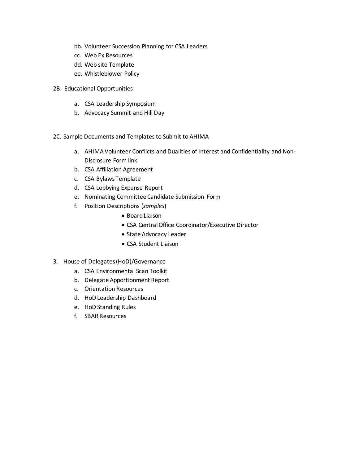- bb. Volunteer Succession Planning for CSA Leaders
- cc. Web Ex Resources
- dd. Web site Template
- ee. Whistleblower Policy
- 2B. Educational Opportunities
	- a. CSA Leadership Symposium
	- b. Advocacy Summit and Hill Day
- 2C. Sample Documents and Templates to Submit to AHIMA
	- a. AHIMA Volunteer Conflicts and Dualities of Interest and Confidentiality and Non-Disclosure Form link
	- b. CSA Affiliation Agreement
	- c. CSA Bylaws Template
	- d. CSA Lobbying Expense Report
	- e. Nominating Committee Candidate Submission Form
	- f. Position Descriptions (*samples*)
		- Board Liaison
		- CSA Central Office Coordinator/Executive Director
		- State Advocacy Leader
		- CSA Student Liaison
- 3. House of Delegates(HoD)/Governance
	- a. CSA Environmental Scan Toolkit
	- b. Delegate Apportionment Report
	- c. Orientation Resources
	- d. HoD Leadership Dashboard
	- e. HoD Standing Rules
	- f. SBAR Resources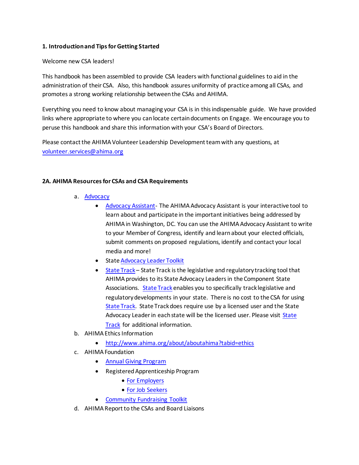# **1. Introduction and Tips for Getting Started**

### Welcome new CSA leaders!

This handbook has been assembled to provide CSA leaders with functional guidelines to aid in the administration of their CSA. Also, this handbook assures uniformity of practice among all CSAs, and promotes a strong working relationship between the CSAs and AHIMA.

Everything you need to know about managing your CSA is in this indispensable guide. We have provided links where appropriate to where you can locate certain documents on Engage. We encourage you to peruse this handbook and share this information with your CSA's Board of Directors.

Please contact the AHIMA Volunteer Leadership Development team with any questions, at [volunteer.services@ahima.org](mailto:volunteer.services@ahima.org)

## **2A. AHIMA Resources for CSAs and CSA Requirements**

- a. [Advocacy](http://www.ahima.org/about/advocacy)
	- [Advocacy Assistant-](http://capwiz.com/ahima/home/) The AHIMA Advocacy Assistant is your interactive tool to learn about and participate in the important initiatives being addressed by AHIMA in Washington, DC. You can use the AHIMA Advocacy Assistant to write to your Member of Congress, identify and learn about your elected officials, submit comments on proposed regulations, identify and contact your local media and more!
	- Stat[e Advocacy](http://engage.ahima.org/communities/community-home/librarydocuments/viewdocument?DocumentKey=2957d12c-be45-4da5-a1c5-86eb5d73cacb&tab=librarydocuments&CommunityKey=b7879dc5-14c3-4d79-8c9f-387950d70c05) Leader Toolkit
	- [State Track](http://corporate.cqrollcall.com/content/389/en/StateTrack_Legislation) State Track is the legislative and regulatory tracking tool that AHIMA provides to its State Advocacy Leaders in the Component State Associations. [State Track](http://corporate.cqrollcall.com/content/389/en/StateTrack_Legislation) enables you to specifically track legislative and regulatory developments in your state. There is no cost to the CSA for using [State Track.](http://corporate.cqrollcall.com/content/389/en/StateTrack_Legislation) State Track does require use by a licensed user and the State Advocacy Leader in each state will be the licensed user. Please visit State [Track](http://corporate.cqrollcall.com/content/389/en/StateTrack_Legislation) for additional information.
- b. AHIMA Ethics Information
	- <http://www.ahima.org/about/aboutahima?tabid=ethics>
- c. AHIMA Foundation
	- [Annual Giving Program](http://www.ahimafoundation.org/support/AnnualFund.aspx)
	- Registered Apprenticeship Program
		- [For Employers](http://www.ahimafoundation.org/prodev/Registered_Apprenticeship.aspx)
		- [For Job Seekers](http://www.ahimafoundation.org/prodev/apprentice.aspx)
	- [Community Fundraising Toolkit](http://www.ahimafoundation.org/downloads/pdfs/CSA%20-%20AHIMA%20Foundation%20Toolkit8_28_15.pdf)
- d. AHIMA Report to the CSAs and Board Liaisons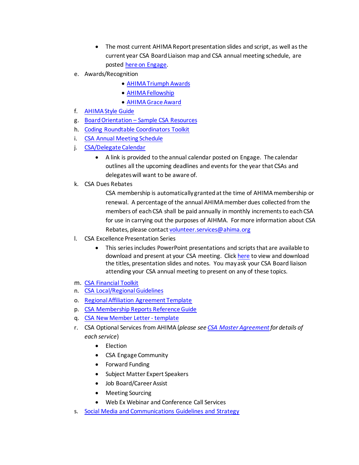- The most current AHIMA Report presentation slides and script, as well asthe current year CSA Board Liaison map and CSA annual meeting schedule, are posted [here on Engage.](https://engage.ahima.org/viewdocument/2018-ahima-report-to-csas?CommunityKey=b7879dc5-14c3-4d79-8c9f-387950d70c05&tab=librarydocuments)
- e. Awards/Recognition
	- [AHIMA Triumph Awards](http://www.ahima.org/about/recognition?tabid=triumph)
	- [AHIMA Fellowship](http://www.ahima.org/about/recognition?tabid=fellowship)
	- [AHIMA Grace Award](http://www.ahima.org/about/recognition/grace)
- f. [AHIMA Style Guide](http://engage.ahima.org/communities/resources/viewdocument/?DocumentKey=4c297227-9a3e-43cf-aec9-0fc6b6300a78)
- g. Board Orientation [Sample CSA Resources](https://engage.ahima.org/viewdocument/sample-csa-board-orientation-materi?CommunityKey=b7879dc5-14c3-4d79-8c9f-387950d70c05&tab=librarydocuments)
- h. [Coding Roundtable Coordinators Toolkit](http://engage.ahima.org/communities/resources/viewdocument/?DocumentKey=e30a9bee-f62a-479b-b780-6203c0117d17)
- i. [CSA Annual Meeting Schedule](https://engage.ahima.org/viewdocument/volunteer-state-resources)
- j. [CSA/Delegate Calendar](https://engage.ahima.org/viewdocument/2019-csadelegate-calendar)
	- A link is provided to the annual calendar posted on Engage. The calendar outlines all the upcoming deadlines and events for the year that CSAs and delegates will want to be aware of.
- k. CSA Dues Rebates

CSA membership is automatically granted at the time of AHIMA membership or renewal. A percentage of the annual AHIMA member dues collected from the members of each CSA shall be paid annually in monthly increments to each CSA for use in carrying out the purposes of AIHMA. For more information about CSA Rebates, please contac[t volunteer.services@ahima.org](mailto:volunteer.services@ahima.org)

- l. CSA Excellence Presentation Series
	- This series includes PowerPoint presentations and scripts that are available to download and present at your CSA meeting. Click [here](https://engage.ahima.org/viewdocument/2018-ahima-report-to-csas?CommunityKey=b7879dc5-14c3-4d79-8c9f-387950d70c05&tab=librarydocuments) to view and download the titles, presentation slides and notes. You may ask your CSA Board liaison attending your CSA annual meeting to present on any of these topics.
- m. [CSA Financial Toolkit](http://engage.ahima.org/communities/community-home/librarydocuments/viewdocument?DocumentKey=522d8ae0-3e53-4c6e-9df6-56940e4ea6a4&Tab=)
- n. [CSA Local/Regional Guidelines](http://engage.ahima.org/communities/resources/viewdocument/?DocumentKey=43a5f893-2ed4-48ac-a410-3f198d8cc972)
- o. [Regional Affiliation Agreement Template](https://engage.ahima.org/viewdocument/csa-resources?CommunityKey=b7879dc5-14c3-4d79-8c9f-387950d70c05&tab=librarydocuments)
- p. [CSA Membership Reports Reference Guide](https://engage.ahima.org/viewdocument/csa-resources?CommunityKey=b7879dc5-14c3-4d79-8c9f-387950d70c05&tab=librarydocuments)
- q. [CSA New Member Letter -](https://engage.ahima.org/viewdocument/sample-csa-new-member-letter) template
- r. CSA Optional Services from AHIMA (*please se[e CSA Master Agreement](https://engage.ahima.org/viewdocument/csa-resources?CommunityKey=b7879dc5-14c3-4d79-8c9f-387950d70c05&tab=librarydocuments) for details of each service*)
	- Election
	- CSA Engage Community
	- Forward Funding
	- Subject Matter Expert Speakers
	- Job Board/Career Assist
	- Meeting Sourcing
	- Web Ex Webinar and Conference Call Services
- s. [Social Media and Communications Guidelines and Strategy](https://engage.ahima.org/viewdocument/ahima-social-media-guidelines)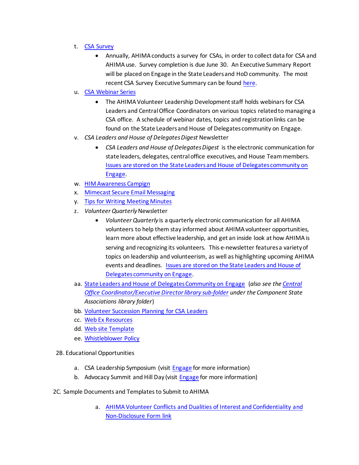- t. [CSA Survey](https://engage.ahima.org/viewdocument/2018-csa-survey-questions?CommunityKey=b7879dc5-14c3-4d79-8c9f-387950d70c05&tab=librarydocuments?tab=librarydocuments&CommunityKey=b7879dc5-14c3-4d79-8c9f-387950d70c05)
	- Annually, AHIMA conducts a survey for CSAs, in order to collect data for CSA and AHIMA use. Survey completion is due June 30. An Executive Summary Report will be placed on Engage in the State Leaders and HoD community. The most recent CSA Survey Executive Summary can be found [here.](https://engage.ahima.org/viewdocument/2017-csa-annual-survey-preview-ques?CommunityKey=b7879dc5-14c3-4d79-8c9f-387950d70c05&tab=librarydocuments)
- u. [CSA Webinar Series](https://engage.ahima.org/viewdocument/2019-csa-monthly-webinar-calendar-a?CommunityKey=b7879dc5-14c3-4d79-8c9f-387950d70c05&tab=librarydocuments)
	- The AHIMA Volunteer Leadership Development staff holds webinars for CSA Leaders and Central Office Coordinators on various topics related to managing a CSA office. A schedule of webinar dates, topics and registration links can be found on the State Leaders and House of Delegates community on Engage.
- v. *CSA Leaders and House of Delegates Digest* Newsletter
	- *CSA Leaders and House of Delegates Digest* is the electronic communication for state leaders, delegates, central office executives, and House Team members. Issues are [stored on the State Leaders and House of Delegates community on](http://engage.ahima.org/communities/community-home/librarydocuments?communitykey=b7879dc5-14c3-4d79-8c9f-387950d70c05&tab=librarydocuments&defaultview=folder&libraryfolderkey=067f119b-e865-4b99-b7d9-d0769441d1ea)  [Engage.](http://engage.ahima.org/communities/community-home/librarydocuments?communitykey=b7879dc5-14c3-4d79-8c9f-387950d70c05&tab=librarydocuments&defaultview=folder&libraryfolderkey=067f119b-e865-4b99-b7d9-d0769441d1ea)
- w. [HIM Awareness Campign](https://engage.ahima.org/viewdocument/him-awareness-advoca?CommunityKey=b7879dc5-14c3-4d79-8c9f-387950d70c05&tab=librarydocuments)
- x. [Mimecast Secure Email Messaging](https://engage.ahima.org/viewdocument/mimecast-secure-messaging)
- y. [Tips for Writing Meeting Minutes](https://engage.ahima.org/viewdocument/best-practices-for-writing-meeting)
- z. *Volunteer Quarterly*Newsletter
	- *Volunteer Quarterly* is a quarterly electronic communication for all AHIMA volunteers to help them stay informed about AHIMA volunteer opportunities, learn more about effective leadership, and get an inside look at how AHIMA is serving and recognizing its volunteers. This e-newsletter featuresa variety of topics on leadership and volunteerism, as well as highlighting upcoming AHIMA events and deadlines. [Issues are stored on the State Leaders and House of](http://engage.ahima.org/communities/community-home/librarydocuments?communitykey=b7879dc5-14c3-4d79-8c9f-387950d70c05&tab=librarydocuments&defaultview=folder&libraryfolderkey=5dfe4b9b-3120-447a-a352-cad70e34998c)  [Delegates community on Engage.](http://engage.ahima.org/communities/community-home/librarydocuments?communitykey=b7879dc5-14c3-4d79-8c9f-387950d70c05&tab=librarydocuments&defaultview=folder&libraryfolderkey=5dfe4b9b-3120-447a-a352-cad70e34998c)
- aa. [State Leaders and House of DelegatesCommunity on Engage](http://engage.ahima.org/communities/viewcommunities/groupdetails/?LibraryKey=0e52389c-cd28-478d-ad4d-057470515dd8&communitykey=b7879dc5-14c3-4d79-8c9f-387950d70c05&tab=groupdetails) (*also see th[e Central](http://engage.ahima.org/communities/community-home/librarydocuments?communitykey=b7879dc5-14c3-4d79-8c9f-387950d70c05&tab=librarydocuments&defaultview=folder&libraryfolderkey=468ab64a-4d20-4942-97f5-992ef5c5e310)  [Office Coordinator/Executive Director library sub-folder](http://engage.ahima.org/communities/community-home/librarydocuments?communitykey=b7879dc5-14c3-4d79-8c9f-387950d70c05&tab=librarydocuments&defaultview=folder&libraryfolderkey=468ab64a-4d20-4942-97f5-992ef5c5e310) under the Component State Associations library folder*)
- bb. [Volunteer Succession Planning for CSA Leaders](http://engage.ahima.org/communities/resources/viewdocument/?DocumentKey=a5fc6407-e0c7-4d53-8778-9b33fac85d5e)
- cc. [Web Ex Resources](http://engage.ahima.org/communities/community-home/librarydocuments/viewdocument?DocumentKey=cf2811b7-a782-42ce-8a93-fc92362ceedb&tab=librarydocuments)
- dd. [Web site Template](http://engage.ahima.org/communities/resources/viewdocument/?DocumentKey=4a6acf26-f056-4db3-bcee-320df8e46b46)
- ee. [Whistleblower Policy](http://bok.ahima.org/doc?oid=301811#.WgCPsK_fNQt)
- 2B. Educational Opportunities
	- a. CSA Leadership Symposium (visit [Engage](https://engage.ahima.org/communities/community-home/librarydocuments?communitykey=b7879dc5-14c3-4d79-8c9f-387950d70c05&tab=librarydocuments&defaultview=folder&libraryfolderkey=79450abf-c707-4a25-835a-51b0223e3bb4) for more information)
	- b. Advocacy Summit and Hill Day (visit **Engage** for more information)
- 2C. Sample Documents and Templates to Submit to AHIMA
	- a. [AHIMA Volunteer Conflicts and Dualities](https://www.surveymonkey.com/r/AHIMACOI2018) of Interest and Confidentiality and [Non-Disclosure Form link](https://www.surveymonkey.com/r/AHIMACOI2018)